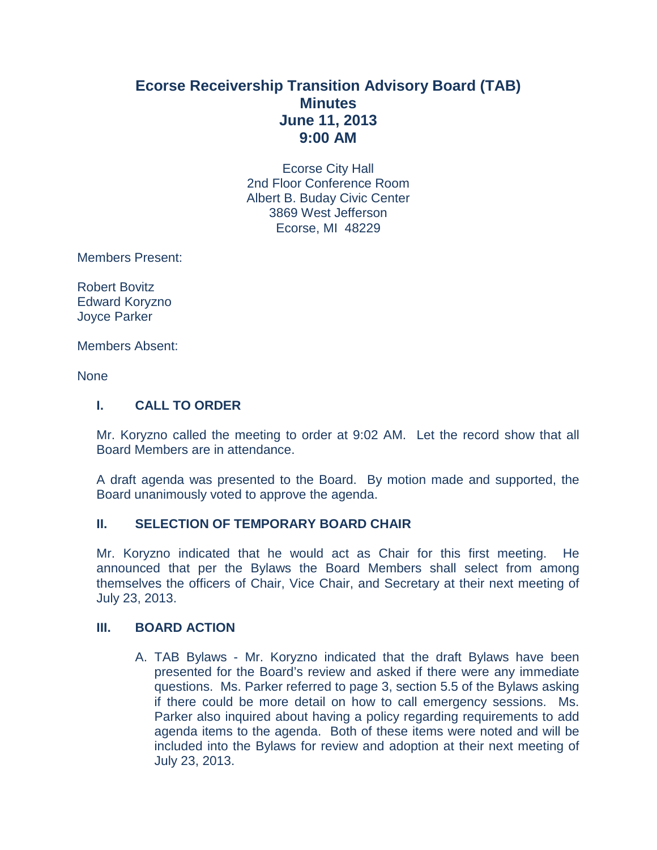# **Ecorse Receivership Transition Advisory Board (TAB) Minutes June 11, 2013 9:00 AM**

Ecorse City Hall 2nd Floor Conference Room Albert B. Buday Civic Center 3869 West Jefferson Ecorse, MI 48229

Members Present:

Robert Bovitz Edward Koryzno Joyce Parker

Members Absent:

None

### **I. CALL TO ORDER**

Mr. Koryzno called the meeting to order at 9:02 AM. Let the record show that all Board Members are in attendance.

A draft agenda was presented to the Board. By motion made and supported, the Board unanimously voted to approve the agenda.

### **II. SELECTION OF TEMPORARY BOARD CHAIR**

Mr. Koryzno indicated that he would act as Chair for this first meeting. He announced that per the Bylaws the Board Members shall select from among themselves the officers of Chair, Vice Chair, and Secretary at their next meeting of July 23, 2013.

### **III. BOARD ACTION**

A. TAB Bylaws - Mr. Koryzno indicated that the draft Bylaws have been presented for the Board's review and asked if there were any immediate questions. Ms. Parker referred to page 3, section 5.5 of the Bylaws asking if there could be more detail on how to call emergency sessions. Ms. Parker also inquired about having a policy regarding requirements to add agenda items to the agenda. Both of these items were noted and will be included into the Bylaws for review and adoption at their next meeting of July 23, 2013.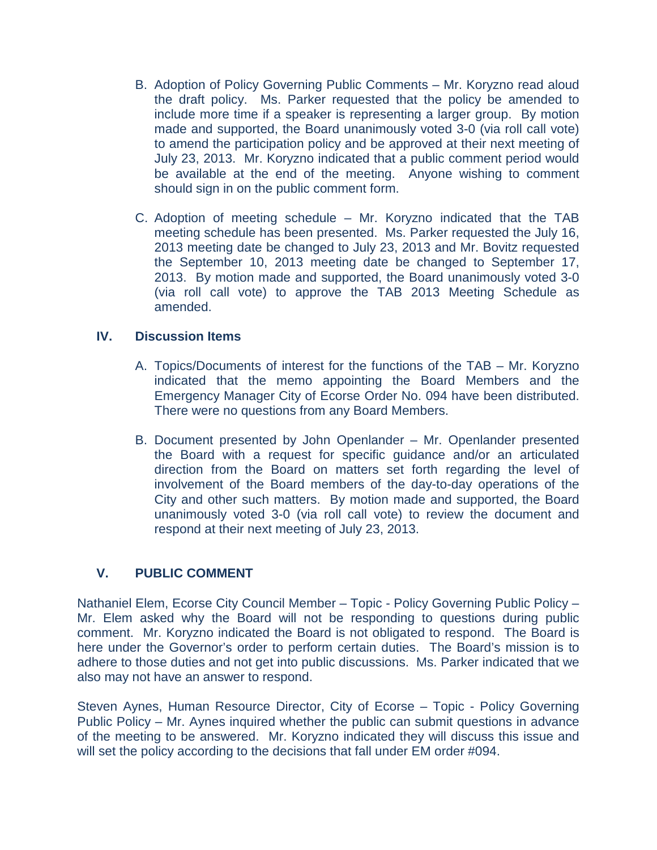- B. Adoption of Policy Governing Public Comments Mr. Koryzno read aloud the draft policy. Ms. Parker requested that the policy be amended to include more time if a speaker is representing a larger group. By motion made and supported, the Board unanimously voted 3-0 (via roll call vote) to amend the participation policy and be approved at their next meeting of July 23, 2013. Mr. Koryzno indicated that a public comment period would be available at the end of the meeting. Anyone wishing to comment should sign in on the public comment form.
- C. Adoption of meeting schedule Mr. Koryzno indicated that the TAB meeting schedule has been presented. Ms. Parker requested the July 16, 2013 meeting date be changed to July 23, 2013 and Mr. Bovitz requested the September 10, 2013 meeting date be changed to September 17, 2013. By motion made and supported, the Board unanimously voted 3-0 (via roll call vote) to approve the TAB 2013 Meeting Schedule as amended.

## **IV. Discussion Items**

- A. Topics/Documents of interest for the functions of the TAB Mr. Koryzno indicated that the memo appointing the Board Members and the Emergency Manager City of Ecorse Order No. 094 have been distributed. There were no questions from any Board Members.
- B. Document presented by John Openlander Mr. Openlander presented the Board with a request for specific guidance and/or an articulated direction from the Board on matters set forth regarding the level of involvement of the Board members of the day-to-day operations of the City and other such matters. By motion made and supported, the Board unanimously voted 3-0 (via roll call vote) to review the document and respond at their next meeting of July 23, 2013.

## **V. PUBLIC COMMENT**

Nathaniel Elem, Ecorse City Council Member – Topic - Policy Governing Public Policy – Mr. Elem asked why the Board will not be responding to questions during public comment. Mr. Koryzno indicated the Board is not obligated to respond. The Board is here under the Governor's order to perform certain duties. The Board's mission is to adhere to those duties and not get into public discussions. Ms. Parker indicated that we also may not have an answer to respond.

Steven Aynes, Human Resource Director, City of Ecorse – Topic - Policy Governing Public Policy – Mr. Aynes inquired whether the public can submit questions in advance of the meeting to be answered. Mr. Koryzno indicated they will discuss this issue and will set the policy according to the decisions that fall under EM order #094.